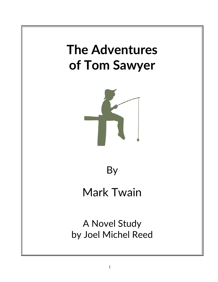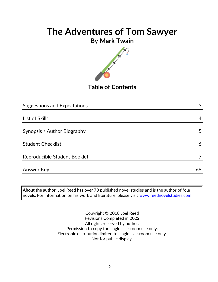## **By Mark Twain**



**Table of Contents**

| <b>Suggestions and Expectations</b> | 3  |
|-------------------------------------|----|
|                                     |    |
| List of Skills                      | 4  |
|                                     |    |
| Synopsis / Author Biography         | 5  |
|                                     |    |
| <b>Student Checklist</b>            | 6  |
|                                     |    |
| Reproducible Student Booklet        |    |
|                                     |    |
| <b>Answer Key</b>                   | 68 |

**About the author:** Joel Reed has over 70 published novel studies and is the author of four  $|$ novels. For information on his work and literature, please visit  $\overline{\text{www.reednovelstudies.com}}$ 

> Copyright © 2018 Joel Reed Revisions Completed in 2022 All rights reserved by author. Permission to copy for single classroom use only. Electronic distribution limited to single classroom use only. Not for public display.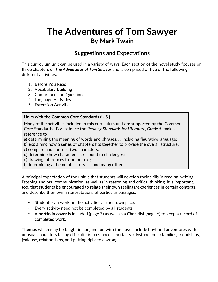## **The Adventures of Tom Sawyer By Mark Twain**

### **Suggestions and Expectations**

This curriculum unit can be used in a variety of ways. Each section of the novel study focuses on three chapters of *The Adventures of Tom Sawyer* and is comprised of five of the following different activities:

- 1. Before You Read
- 2. Vocabulary Building
- 3. Comprehension Questions
- 4. Language Activities
- 5. Extension Activities

#### **Links with the Common Core Standards (U.S.)**

Many of the activities included in this curriculum unit are supported by the Common Core Standards. For instance the *Reading Standards for Literature, Grade 5*, makes reference to

- a) determining the meaning of words and phrases. . . including figurative language;
- b) explaining how a series of chapters fits together to provide the overall structure;

c) compare and contrast two characters;

- d) determine how characters … respond to challenges;
- e) drawing inferences from the text;

f) determining a theme of a story . . . **and many others.**

A principal expectation of the unit is that students will develop their skills in reading, writing, listening and oral communication, as well as in reasoning and critical thinking. It is important, too, that students be encouraged to relate their own feelings/experiences in certain contexts, and describe their own interpretations of particular passages.

- Students can work on the activities at their own pace.
- Every activity need not be completed by all students.
- A **portfolio cover** is included (page 7) as well as a **Checklist** (page 6) to keep a record of completed work.

**Themes** which may be taught in conjunction with the novel include boyhood adventures with unusual characters facing difficult circumstances, mortality, (dysfunctional) families, friendships, jealousy, relationships, and putting right to a wrong.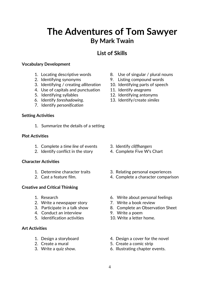## **The Adventures of Tom Sawyer By Mark Twain**

### **List of Skills**

#### **Vocabulary Development**

- 
- 
- 3. Identifying / creating *alliteration* 10. Identifying parts of speech
- 4. Use of capitals and punctuation 11. Identify *anagrams*
- 
- 
- 7. Identify *personification*

#### **Setting Activities**

1. Summarize the details of a setting

#### **Plot Activities**

- 1. Complete a *time line* of events 3. Identify *cliffhangers*
- 2. Identify conflict in the story 4. Complete Five W's Chart

#### **Character Activities**

- 
- 

#### **Creative and Critical Thinking**

- 
- 2. Write a newspaper story **7.** Write a book review
- 
- 4. Conduct an interview 9. Write a poem
- 5. Identification activities 10. Write a letter home.

#### **Art Activities**

- 
- 
- 
- 1. Locating descriptive words 8. Use of singular / plural nouns
- 2. Identifying synonyms 9. Listing compound words
	-
	-
- 5. Identifying syllables 12. Identifying antonyms
- 6. Identify *foreshadowing*. 13. Identify/create *similes*

- 
- 
- 1. Determine character traits 3. Relating personal experiences
- 2. Cast a feature film. 4. Complete a character comparison
- 1. Research 6. Write about personal feelings
	-
- 3. Participate in a talk show 8. Complete an Observation Sheet
	-
	-
- 1. Design a storyboard 4. Design a cover for the novel
- 2. Create a mural 2. Create a comic strip
- 3. Write a quiz show. 6. Illustrating chapter events.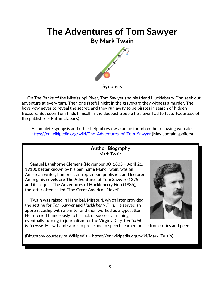## **The Adventures of Tom Sawyer By Mark Twain**



 On The Banks of the Mississippi River, Tom Sawyer and his friend Huckleberry Finn seek out adventure at every turn. Then one fateful night in the graveyard they witness a murder. The boys vow never to reveal the secret, and they run away to be pirates in search of hidden treasure. But soon Tom finds himself in the deepest trouble he's ever had to face. (Courtesy of the publisher – Puffin Classics)

A complete synopsis and other helpful reviews can be found on the following website: https://en.wikipedia.org/wiki/The Adventures of Tom Sawyer (May contain spoilers)

#### **Author Biography** Mark Twain

 **Samuel Langhorne Clemens** (November 30, 1835 – April 21, 1910), better known by his pen name Mark Twain, was an American writer, humorist, entrepreneur, publisher, and lecturer. Among his novels are **The Adventures of Tom Sawyer** (1875) and its sequel, **The Adventures of Huckleberry Finn** (1885), the latter often called "The Great American Novel".

 Twain was raised in Hannibal, Missouri, which later provided the setting for *Tom Sawyer* and *Huckleberry Finn*. He served an apprenticeship with a printer and then worked as a typesetter. He referred humorously to his lack of success at mining, eventually turning to journalism for the Virginia City *[Territorial](https://en.wikipedia.org/wiki/Territorial_Enterprise)*



*[Enterprise](https://en.wikipedia.org/wiki/Territorial_Enterprise)*. His wit and satire, in prose and in speech, earned praise from critics and peers.

(Biography courtesy of Wikipedia - [https://en.wikipedia.org/wiki/Mark\\_Twain\)](https://en.wikipedia.org/wiki/Mark_Twain)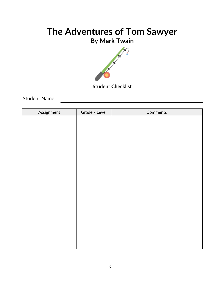## **By Mark Twain**



**Student Checklist**

Student Name

| Assignment | Grade / Level | Comments |
|------------|---------------|----------|
|            |               |          |
|            |               |          |
|            |               |          |
|            |               |          |
|            |               |          |
|            |               |          |
|            |               |          |
|            |               |          |
|            |               |          |
|            |               |          |
|            |               |          |
|            |               |          |
|            |               |          |
|            |               |          |
|            |               |          |
|            |               |          |
|            |               |          |
|            |               |          |
|            |               |          |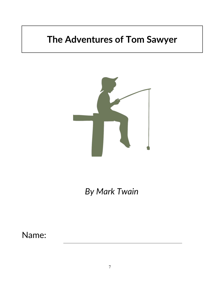

*By Mark Twain*

Name: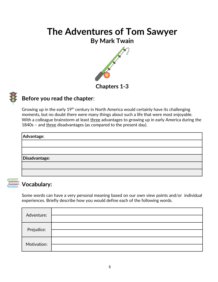### **By Mark Twain**





### **Before you read the chapter**:

Growing up in the early  $19<sup>th</sup>$  century in North America would certainly have its challenging moments, but no doubt there were many things about such a life that were most enjoyable. With a colleague brainstorm at least three advantages to growing up in early America during the 1840s - and three disadvantages (as compared to the present day).

| Advantage:    |  |
|---------------|--|
|               |  |
|               |  |
| Disadvantage: |  |
|               |  |
|               |  |

## **Vocabulary:**

Some words can have a very personal meaning based on our own view points and/or individual experiences. Briefly describe how you would define each of the following words.

| Adventure:  |  |
|-------------|--|
| Prejudice:  |  |
| Motivation: |  |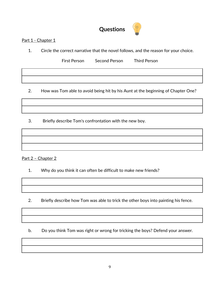## **Questions**

#### Part 1 - Chapter 1

1. Circle the correct narrative that the novel follows, and the reason for your choice.

First Person Second Person Third Person

2. How was Tom able to avoid being hit by his Aunt at the beginning of Chapter One?

3. Briefly describe Tom's confrontation with the new boy.

Part 2 - Chapter 2

1. Why do you think it can often be difficult to make new friends?

2. Briefly describe how Tom was able to trick the other boys into painting his fence.

b. Do you think Tom was right or wrong for tricking the boys? Defend your answer.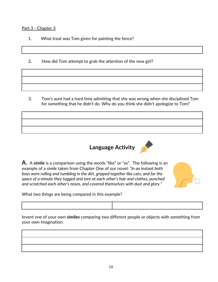#### Part 3 - Chapter 3

- 1. What treat was Tom given for painting the fence?
- 2. How did Tom attempt to grab the attention of the new girl?

 3. Tom's aunt had a hard time admitting that she was wrong when she disciplined Tom for something that he didn't do. Why do you think she didn't apologize to Tom?

**Language Activity**



**A.** A **simile** is a comparison using the words "like" or "as". The following is an example of a *simile* taken from Chapter One of our novel: *"In an instant both boys were rolling and tumbling in the dirt, gripped together like cats; and for the space of a minute they tugged and tore at each other's hair and clothes, punched and scratched each other's noses, and covered themselves with dust and glory."*

What two things are being compared in this example?

Invent one of your own **similes** comparing two different people or objects with something from your own imagination: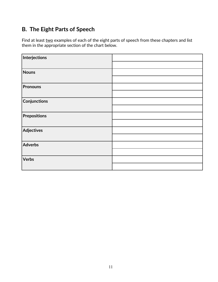## **B. The Eight Parts of Speech**

Find at least two examples of each of the eight parts of speech from these chapters and list them in the appropriate section of the chart below.

| Interjections       |  |
|---------------------|--|
|                     |  |
| <b>Nouns</b>        |  |
|                     |  |
| <b>Pronouns</b>     |  |
|                     |  |
| <b>Conjunctions</b> |  |
|                     |  |
| <b>Prepositions</b> |  |
|                     |  |
| Adjectives          |  |
|                     |  |
| Adverbs             |  |
|                     |  |
| <b>Verbs</b>        |  |
|                     |  |